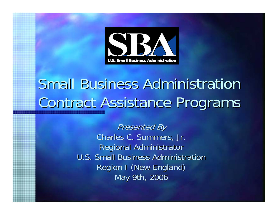

# **Small Business Administration** Contract Assistance Programs

**Presented By** Charles C. Summers, Jr. **Regional Administrator** U.S. Small Business Administration Region I (New England) May 9th, 2006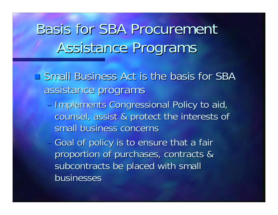# **Basis for SBA Procurement** Assistance Programs

- $\blacksquare$  Small Business Act is the basis for SBA assistance programs
	- Implements Congressional Policy to aid, counsel, assist & protect the interests of counsel, assist & protect the interests of small business concerns
	- Goal of policy is to ensure that a fair proportion of purchases, contracts & subcontracts be placed with small businesses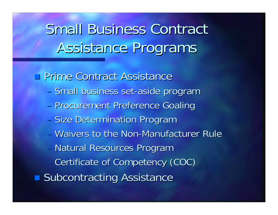# **Small Business Contract** Assistance Programs

**Prime Contract Assistance** 

- Small business set-aside program
- **Procurement Preference Goaling**
- Size Determination Program
- Waivers to the Non-Manufacturer Rule
- Natural Resources Program
- Certificate of Competency (COC)
- **Subcontracting Assistance**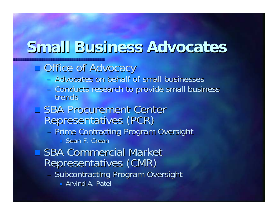## **Small Business Advocates Small Business Advocates**

#### **Office of Advocacy**

- Advocates on behalf of small businesses
- Conducts research to provide small business<br>trends

□ SBA Procurement Center Representatives (PCR)

–- Prime Contracting Program Oversight  $\Box$  Sean F. Crean

■ SBA Commercial Market Representatives (CMR)

- Subcontracting Program Oversight
	- **Arvind A. Patel**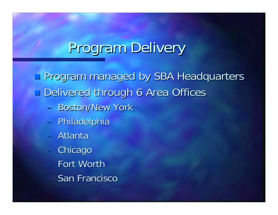# Program Delivery

 Program managed by SBA Headquarters Program managed by SBA Headquarters **Delivered through 6 Area Offices** 

- $-$  Boston/New York
- Philadelphia
- Atlanta
- Chicago
- Fort Worth
- San Francisco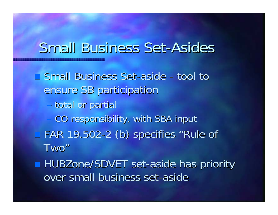#### **Small Business Set-Asides**

**Small Business Set-aside** -- tool to ensure SB participation – total or partial - CO responsibility, with SBA input  $\blacksquare$  FAR 19.502-2 (b) specifies "Rule of Two"

**HUBZone/SDVET set-aside has priority** over small business set-aside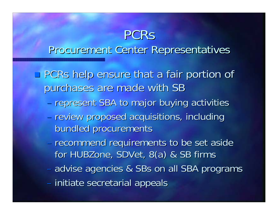#### PCRsProcurement Center Representatives Procurement Center Representatives

**PCRs help ensure that a fair portion of** purchases are made with SB

- represent SBA to major buying activities
- review proposed acquisitions, including bundled procurements bundled procurements
- recommend requirements to be set aside for HUBZone, SDVet, 8(a) & SB firms
- $\mathcal{L}_{\mathcal{A}}$ – advise agencies & SBs on all SBA programs
- initiate secretarial appeals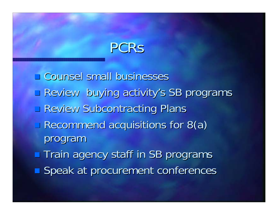## PCRs

 $\Box$  Counsel small businesses **Review buying activity's SB programs Review Subcontracting Plans**  $\Box$  Recommend acquisitions for 8(a) program **The Train agency staff in SB programs Speak at procurement conferences**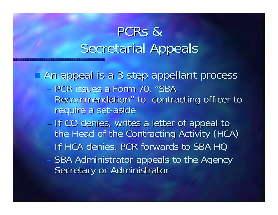### PCRs & Secretarial Appeals

**An appeal is a 3 step appellant process** 

- PCR issues a Form 70, "SBA Recommendation" to contracting officer to require a set-aside
- If CO denies, writes a letter of appeal to the Head of the Contracting Activity (HCA)
- If HCA denies, PCR forwards to SBA HQ
- SBA Administrator appeals to the Agency Secretary or Administrator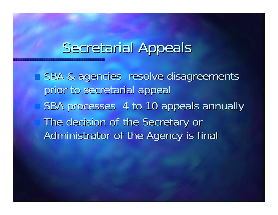#### Secretarial Appeals

**SBA & agencies resolve disagreements** prior to secretarial appeal ■ SBA processes 4 to 10 appeals annually The decision of the Secretary or The decision of the Secretary or Administrator of the Agency is final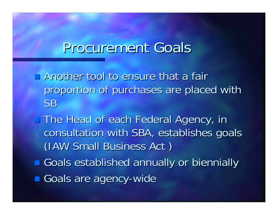#### Procurement Goals

- $\Box$  Another tool to ensure that a fair proportion of purchases are placed with SB
- The Head of each Federal Agency, in The Head of each Federal Agency, in consultation with SBA, establishes goals (IAW Small Business Act)
- **E** Goals established annually or biennially
- **Goals are agency-wide**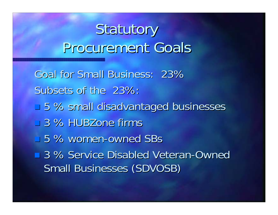# Statutory Procurement Goals

Goal for Small Business: 23% Subsets of the 23%: ■ 5 % small disadvantaged businesses  $\Box$  3 % HUBZone firms ■ 5 % women-owned SBs ■ 3 % Service Disabled Veteran-Owned Small Businesses (SDVOSB)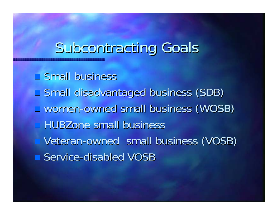## Subcontracting Goals

 $\Box$  Small business pan<br>Kabupatèn **Small disadvantaged business (SDB)** u women-owned small business (WOSB) **HUBZone small business U** Veteran-owned small business (VOSB) ■ Service-disabled VOSB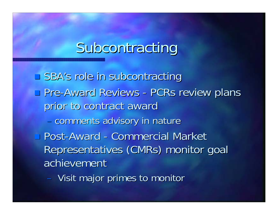## Subcontracting

SBA's role in subcontracting **D** Pre-Award Reviews -- PCRs review plans prior to contract award - comments advisory in nature ■ Post-Award -- Commercial Market Representatives (CMRs) monitor goal achievement

- Visit major primes to monitor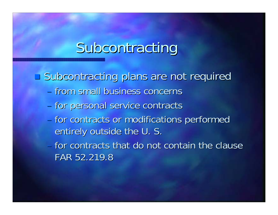## Subcontracting

**Subcontracting plans are not required** 

- from small business concerns from small business concerns
- for personal service contracts
- for contracts or modifications performed entirely outside the U. S.
- $-$  for contracts that do not contain the clause FAR 52.219.8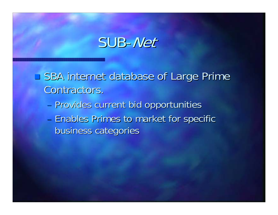#### SUB-Net

**SBA internet database of Large Prime** Contractors. - Provides current bid opportunities - Enables Primes to market for specific business categories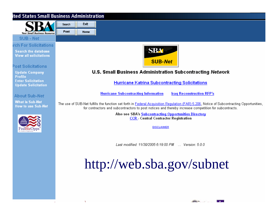#### ited States Small Business Administration

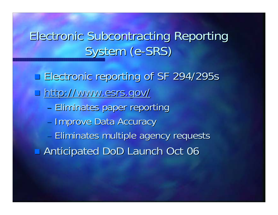#### Electronic Subcontracting Reporting System (e-SRS)

 Electronic reporting of SF 294/295s Electronic reporting of SF 294/295s  $\blacksquare$  http://www.esrs.gov/

- Eliminates paper reporting
- Improve Data Accuracy

– Eliminates multiple agency requests **Anticipated DoD Launch Oct 06**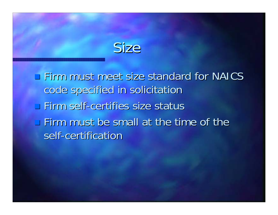## Size

**Firm must meet size standard for NAICS** code specified in solicitation  $\Box$  Firm self-certifies size status  $\blacksquare$  Firm must be small at the time of the self-certification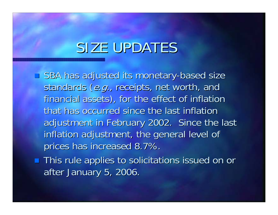#### SIZE UPDATES

 $\blacksquare$  SBA has adjusted its monetary-based size standards (e.g., receipts, net worth, and financial assets), for the effect of inflation that has occurred since the last inflation adjustment in February 2002. Since the last inflation adjustment, the general level of prices has increased 8.7%.

**This rule applies to solicitations issued on or** after January 5, 2006.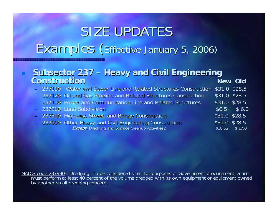## SIZE UPDATES Examples (Effective January 5, 2006)

#### **Subsector Subsector 237 – Heavy and Civil Engineering Heavy and Civil Engineering Construction ConstructionNew Old New Old**

- 237110 237110 Water and Sewer Line and Related Structures Construction \$31.0 Water and Sewer Line and Related Structures Construction \$31.0 \$28.5
- 237120 Oil and Gas Pipeline and Related Structures Construction \$31.0 \$28.5
- 237130 Power and Communication Line and Related Structures \$31.0 \$28.5

|  | 237210 Land Subdivision                                 |                | $$6.5$ $$6.0$    |
|--|---------------------------------------------------------|----------------|------------------|
|  | - 237310 Highway, Street, and Bridge Construction       | $$31.0$ \$28.5 |                  |
|  | - 237990 Other Heavy and Civil Engineering Construction | $$31.0$ \$28.5 |                  |
|  | <b>Except, Dredging and Surface Cleanup Activities2</b> |                | $$18.52$ $$17.0$ |

NAICS code 237990</u> - Dredging: To be considered small for purposes of Government procurement, a firm<br>must perform at least 40 percent of the volume dredged with its own equipment or equipment owned<br>by another small dredgin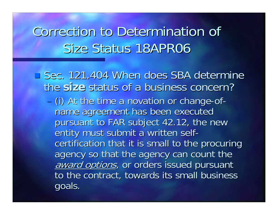### Correction to Determination of Size Status 18APR06

 $\square$  Sec. 121.404 When does SBA determine the size status of a business concern? - (i) At the time a novation or change-ofname agreement has been executed pursuant to FAR subject 42.12, the new entity must submit a written selfcertification that it is small to the procuring agency so that the agency can count the award options, or orders issued pursuant to the contract, towards its small business goals.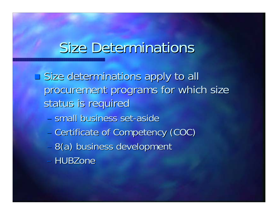#### **Size Determinations**

**East Size determinations apply to all** procurement programs for which size status is required

- small business set-aside
- Certificate of Competency (COC)
- 8(a) business development
- HUBZone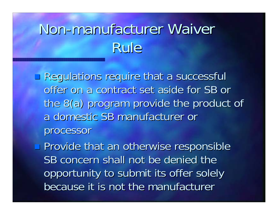# Non-manufacturer Waiver Rule

**Regulations require that a successful** offer on a contract set aside for SB or the 8(a) program provide the product of a domestic SB manufacturer or processor processor

**Provide that an otherwise responsible** SB concern shall not be denied the opportunity to submit its offer solely because it is not the manufacturer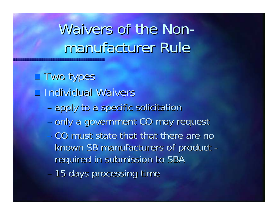#### Waivers of the Non manufacturer Rule

**Two types Individual Waivers** - apply to a specific solicitation - only a government CO may request – CO must state that that there are no known SB manufacturers of product required in submission to SBA – 15 days processing time

-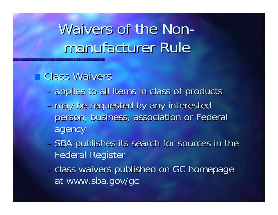#### Waivers of the Non manufacturer Rule

#### **E** Class Waivers

- applies to all items in class of products
- may be requested by any interested person, business, association or Federal agency
- SBA publishes its search for sources in the **Federal Register**
- class waivers published on GC homepage at www.sba.gov/gc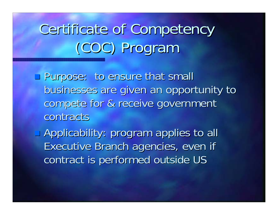# Certificate of Competency (COC) Program (COC) Program

- **Purpose: to ensure that small** businesses are given an opportunity to businesses are given an opportunity to compete for & receive government contracts
- Applicability: program applies to all Applicability: program applies to all Executive Branch agencies, even if contract is performed outside US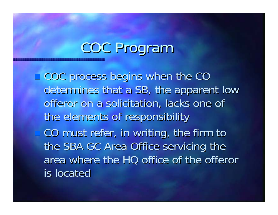## COC Program

**EXACC PROCESS begins when the CO** determines that a SB, the apparent low offeror on a solicitation, lacks one of the elements of responsibility CO must refer, in writing, the firm to CO must refer, in writing, the firm to the SBA GC Area Office servicing the area where the HQ office of the offeror is located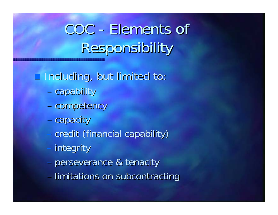COC - Elements of Responsibility Responsibility

Including, but limited to: Including, but limited to:

- capability
- competency
- capacity
- credit (financial capability)
- integrity
- perseverance & tenacity
- limitations on subcontracting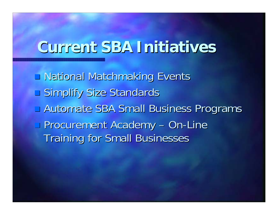#### **Current SBA Initiatives Current SBA Initiatives**

**National Matchmaking Events Simplify Size Standards Lautomate SBA Small Business Programs Procurement Academy** – On -Line **Training for Small Businesses**